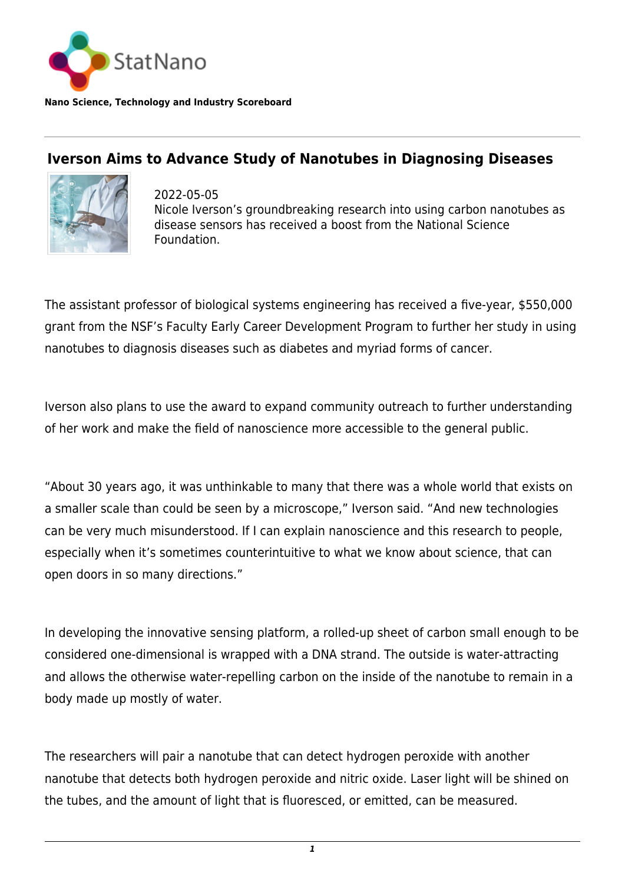

**Nano Science, Technology and Industry Scoreboard**

## **Iverson Aims to Advance Study of Nanotubes in Diagnosing Diseases**



2022-05-05 Nicole Iverson's groundbreaking research into using carbon nanotubes as disease sensors has received a boost from the National Science Foundation.

The assistant professor of biological systems engineering has received a five-year, \$550,000 grant from the NSF's Faculty Early Career Development Program to further her study in using nanotubes to diagnosis diseases such as diabetes and myriad forms of cancer.

Iverson also plans to use the award to expand community outreach to further understanding of her work and make the field of nanoscience more accessible to the general public.

"About 30 years ago, it was unthinkable to many that there was a whole world that exists on a smaller scale than could be seen by a microscope," Iverson said. "And new technologies can be very much misunderstood. If I can explain nanoscience and this research to people, especially when it's sometimes counterintuitive to what we know about science, that can open doors in so many directions."

In developing the innovative sensing platform, a rolled-up sheet of carbon small enough to be considered one-dimensional is wrapped with a DNA strand. The outside is water-attracting and allows the otherwise water-repelling carbon on the inside of the nanotube to remain in a body made up mostly of water.

The researchers will pair a nanotube that can detect hydrogen peroxide with another nanotube that detects both hydrogen peroxide and nitric oxide. Laser light will be shined on the tubes, and the amount of light that is fluoresced, or emitted, can be measured.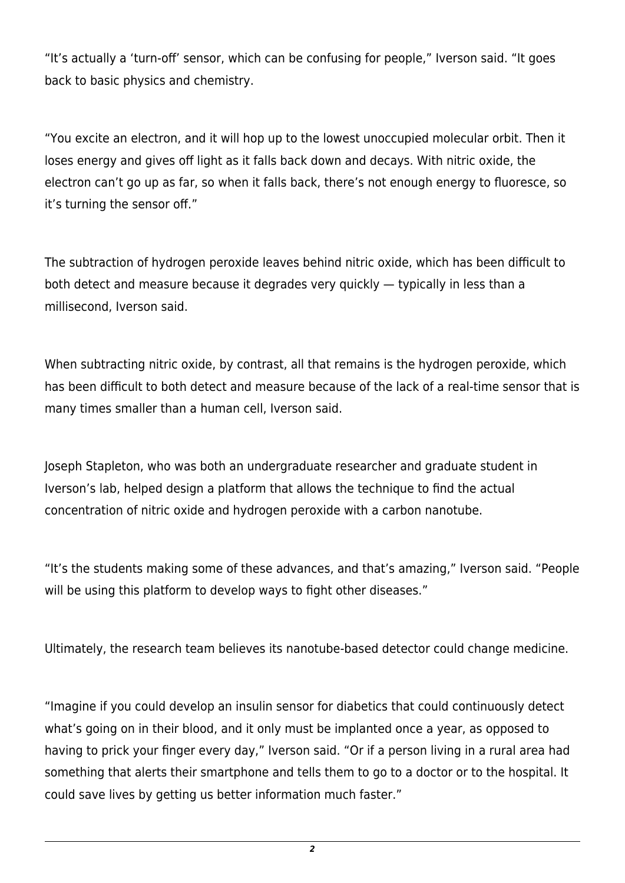"It's actually a 'turn-off' sensor, which can be confusing for people," Iverson said. "It goes back to basic physics and chemistry.

"You excite an electron, and it will hop up to the lowest unoccupied molecular orbit. Then it loses energy and gives off light as it falls back down and decays. With nitric oxide, the electron can't go up as far, so when it falls back, there's not enough energy to fluoresce, so it's turning the sensor off."

The subtraction of hydrogen peroxide leaves behind nitric oxide, which has been difficult to both detect and measure because it degrades very quickly — typically in less than a millisecond, Iverson said.

When subtracting nitric oxide, by contrast, all that remains is the hydrogen peroxide, which has been difficult to both detect and measure because of the lack of a real-time sensor that is many times smaller than a human cell, Iverson said.

Joseph Stapleton, who was both an undergraduate researcher and graduate student in Iverson's lab, helped design a platform that allows the technique to find the actual concentration of nitric oxide and hydrogen peroxide with a carbon nanotube.

"It's the students making some of these advances, and that's amazing," Iverson said. "People will be using this platform to develop ways to fight other diseases."

Ultimately, the research team believes its nanotube-based detector could change medicine.

"Imagine if you could develop an insulin sensor for diabetics that could continuously detect what's going on in their blood, and it only must be implanted once a year, as opposed to having to prick your finger every day," Iverson said. "Or if a person living in a rural area had something that alerts their smartphone and tells them to go to a doctor or to the hospital. It could save lives by getting us better information much faster."